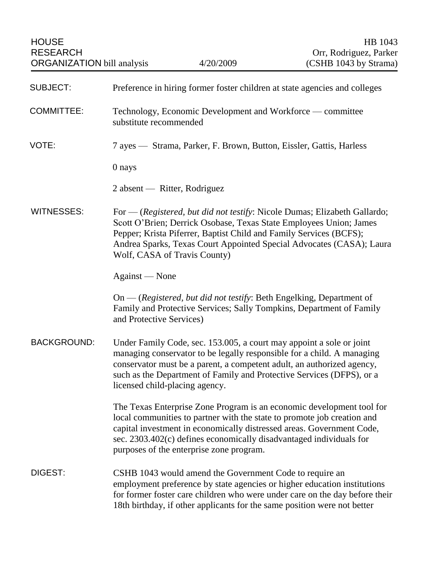| <b>SUBJECT:</b>    | Preference in hiring former foster children at state agencies and colleges                                                                                                                                                                                                                                                                   |
|--------------------|----------------------------------------------------------------------------------------------------------------------------------------------------------------------------------------------------------------------------------------------------------------------------------------------------------------------------------------------|
| <b>COMMITTEE:</b>  | Technology, Economic Development and Workforce — committee<br>substitute recommended                                                                                                                                                                                                                                                         |
| VOTE:              | 7 ayes — Strama, Parker, F. Brown, Button, Eissler, Gattis, Harless                                                                                                                                                                                                                                                                          |
|                    | 0 nays                                                                                                                                                                                                                                                                                                                                       |
|                    | 2 absent — Ritter, Rodriguez                                                                                                                                                                                                                                                                                                                 |
| <b>WITNESSES:</b>  | For — (Registered, but did not testify: Nicole Dumas; Elizabeth Gallardo;<br>Scott O'Brien; Derrick Osobase, Texas State Employees Union; James<br>Pepper; Krista Piferrer, Baptist Child and Family Services (BCFS);<br>Andrea Sparks, Texas Court Appointed Special Advocates (CASA); Laura<br>Wolf, CASA of Travis County)                |
|                    | Against — None                                                                                                                                                                                                                                                                                                                               |
|                    | On — (Registered, but did not testify: Beth Engelking, Department of<br>Family and Protective Services; Sally Tompkins, Department of Family<br>and Protective Services)                                                                                                                                                                     |
| <b>BACKGROUND:</b> | Under Family Code, sec. 153.005, a court may appoint a sole or joint<br>managing conservator to be legally responsible for a child. A managing<br>conservator must be a parent, a competent adult, an authorized agency,<br>such as the Department of Family and Protective Services (DFPS), or a<br>licensed child-placing agency.          |
|                    | The Texas Enterprise Zone Program is an economic development tool for<br>local communities to partner with the state to promote job creation and<br>capital investment in economically distressed areas. Government Code,<br>sec. 2303.402(c) defines economically disadvantaged individuals for<br>purposes of the enterprise zone program. |
| DIGEST:            | CSHB 1043 would amend the Government Code to require an<br>employment preference by state agencies or higher education institutions<br>for former foster care children who were under care on the day before their<br>18th birthday, if other applicants for the same position were not better                                               |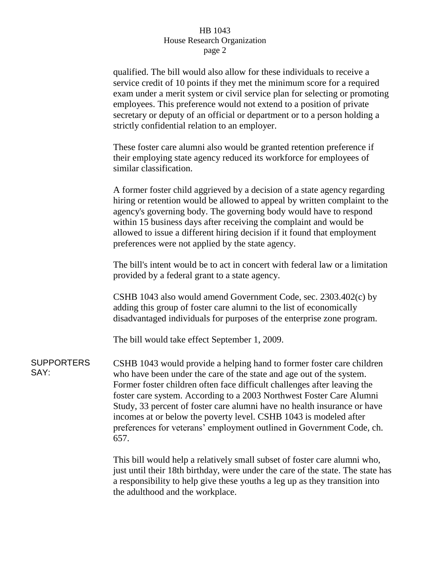## HB 1043 House Research Organization page 2

qualified. The bill would also allow for these individuals to receive a service credit of 10 points if they met the minimum score for a required exam under a merit system or civil service plan for selecting or promoting employees. This preference would not extend to a position of private secretary or deputy of an official or department or to a person holding a strictly confidential relation to an employer.

These foster care alumni also would be granted retention preference if their employing state agency reduced its workforce for employees of similar classification.

A former foster child aggrieved by a decision of a state agency regarding hiring or retention would be allowed to appeal by written complaint to the agency's governing body. The governing body would have to respond within 15 business days after receiving the complaint and would be allowed to issue a different hiring decision if it found that employment preferences were not applied by the state agency.

The bill's intent would be to act in concert with federal law or a limitation provided by a federal grant to a state agency.

CSHB 1043 also would amend Government Code, sec. 2303.402(c) by adding this group of foster care alumni to the list of economically disadvantaged individuals for purposes of the enterprise zone program.

The bill would take effect September 1, 2009.

**SUPPORTERS** SAY: CSHB 1043 would provide a helping hand to former foster care children who have been under the care of the state and age out of the system. Former foster children often face difficult challenges after leaving the foster care system. According to a 2003 Northwest Foster Care Alumni Study, 33 percent of foster care alumni have no health insurance or have incomes at or below the poverty level. CSHB 1043 is modeled after preferences for veterans' employment outlined in Government Code, ch. 657.

> This bill would help a relatively small subset of foster care alumni who, just until their 18th birthday, were under the care of the state. The state has a responsibility to help give these youths a leg up as they transition into the adulthood and the workplace.